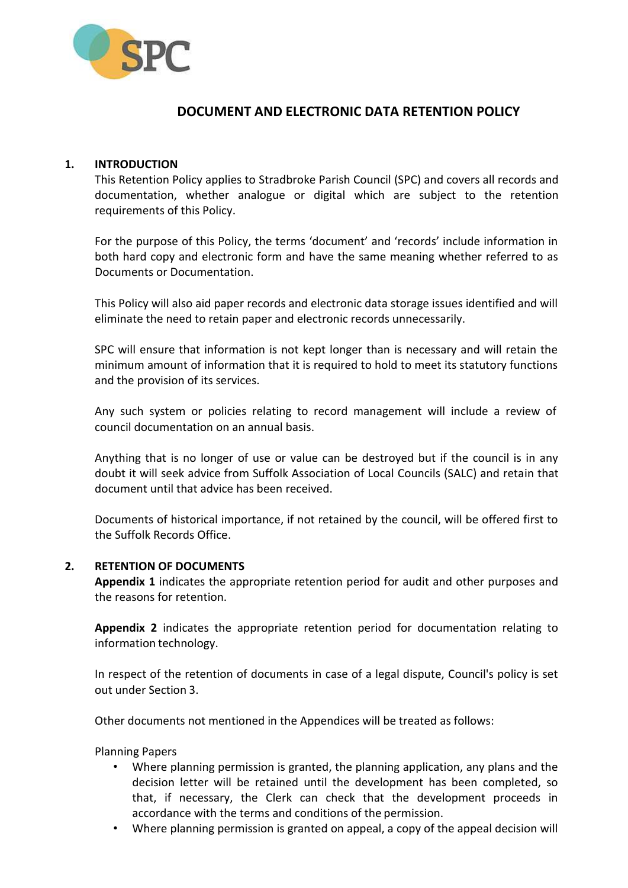

# **DOCUMENT AND ELECTRONIC DATA RETENTION POLICY**

#### **1. INTRODUCTION**

This Retention Policy applies to Stradbroke Parish Council (SPC) and covers all records and documentation, whether analogue or digital which are subject to the retention requirements of this Policy.

For the purpose of this Policy, the terms 'document' and 'records' include information in both hard copy and electronic form and have the same meaning whether referred to as Documents or Documentation.

This Policy will also aid paper records and electronic data storage issues identified and will eliminate the need to retain paper and electronic records unnecessarily.

SPC will ensure that information is not kept longer than is necessary and will retain the minimum amount of information that it is required to hold to meet its statutory functions and the provision of its services.

Any such system or policies relating to record management will include a review of council documentation on an annual basis.

Anything that is no longer of use or value can be destroyed but if the council is in any doubt it will seek advice from Suffolk Association of Local Councils (SALC) and retain that document until that advice has been received.

Documents of historical importance, if not retained by the council, will be offered first to the Suffolk Records Office.

#### **2. RETENTION OF DOCUMENTS**

**Appendix 1** indicates the appropriate retention period for audit and other purposes and the reasons for retention.

**Appendix 2** indicates the appropriate retention period for documentation relating to information technology.

In respect of the retention of documents in case of a legal dispute, Council's policy is set out under Section 3.

Other documents not mentioned in the Appendices will be treated as follows:

Planning Papers

- Where planning permission is granted, the planning application, any plans and the decision letter will be retained until the development has been completed, so that, if necessary, the Clerk can check that the development proceeds in accordance with the terms and conditions of the permission.
- Where planning permission is granted on appeal, a copy of the appeal decision will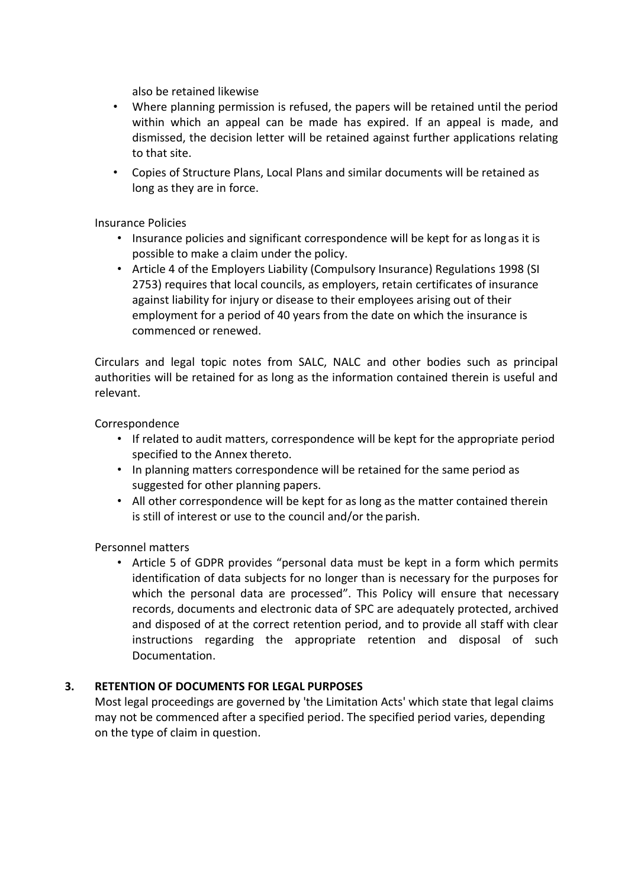also be retained likewise

- Where planning permission is refused, the papers will be retained until the period within which an appeal can be made has expired. If an appeal is made, and dismissed, the decision letter will be retained against further applications relating to that site.
- Copies of Structure Plans, Local Plans and similar documents will be retained as long as they are in force.

Insurance Policies

- Insurance policies and significant correspondence will be kept for as long as it is possible to make a claim under the policy.
- Article 4 of the Employers Liability (Compulsory Insurance) Regulations 1998 (SI 2753) requires that local councils, as employers, retain certificates of insurance against liability for injury or disease to their employees arising out of their employment for a period of 40 years from the date on which the insurance is commenced or renewed.

Circulars and legal topic notes from SALC, NALC and other bodies such as principal authorities will be retained for as long as the information contained therein is useful and relevant.

Correspondence

- If related to audit matters, correspondence will be kept for the appropriate period specified to the Annex thereto.
- In planning matters correspondence will be retained for the same period as suggested for other planning papers.
- All other correspondence will be kept for as long as the matter contained therein is still of interest or use to the council and/or the parish.

Personnel matters

• Article 5 of GDPR provides "personal data must be kept in a form which permits identification of data subjects for no longer than is necessary for the purposes for which the personal data are processed". This Policy will ensure that necessary records, documents and electronic data of SPC are adequately protected, archived and disposed of at the correct retention period, and to provide all staff with clear instructions regarding the appropriate retention and disposal of such Documentation.

## **3. RETENTION OF DOCUMENTS FOR LEGAL PURPOSES**

Most legal proceedings are governed by 'the Limitation Acts' which state that legal claims may not be commenced after a specified period. The specified period varies, depending on the type of claim in question.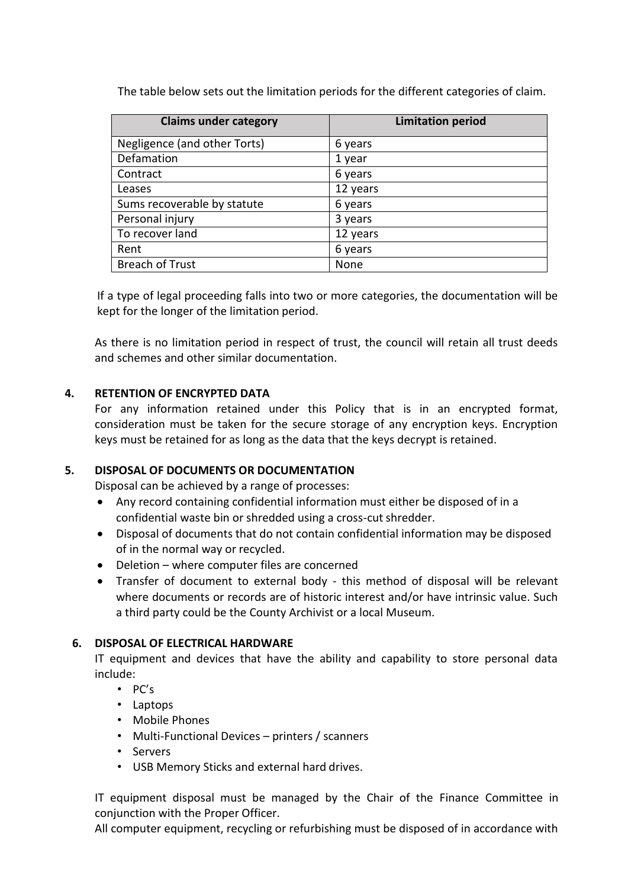The table below sets out the limitation periods for the different categories of claim.

| <b>Claims under category</b> | <b>Limitation period</b> |
|------------------------------|--------------------------|
| Negligence (and other Torts) | 6 years                  |
| Defamation                   | 1 year                   |
| Contract                     | 6 years                  |
| Leases                       | 12 years                 |
| Sums recoverable by statute  | 6 years                  |
| Personal injury              | 3 years                  |
| To recover land              | 12 years                 |
| Rent                         | 6 years                  |
| <b>Breach of Trust</b>       | None                     |

If a type of legal proceeding falls into two or more categories, the documentation will be kept for the longer of the limitation period.

As there is no limitation period in respect of trust, the council will retain all trust deeds and schemes and other similar documentation.

## **4. RETENTION OF ENCRYPTED DATA**

For any information retained under this Policy that is in an encrypted format, consideration must be taken for the secure storage of any encryption keys. Encryption keys must be retained for as long as the data that the keys decrypt is retained.

## **5. DISPOSAL OF DOCUMENTS OR DOCUMENTATION**

Disposal can be achieved by a range of processes:

- Any record containing confidential information must either be disposed of in a confidential waste bin or shredded using a cross-cut shredder.
- Disposal of documents that do not contain confidential information may be disposed of in the normal way or recycled.
- Deletion where computer files are concerned
- Transfer of document to external body this method of disposal will be relevant where documents or records are of historic interest and/or have intrinsic value. Such a third party could be the County Archivist or a local Museum.

## **6. DISPOSAL OF ELECTRICAL HARDWARE**

IT equipment and devices that have the ability and capability to store personal data include:

- PC's
- Laptops
- Mobile Phones
- Multi-Functional Devices printers / scanners
- Servers
- USB Memory Sticks and external hard drives.

IT equipment disposal must be managed by the Chair of the Finance Committee in conjunction with the Proper Officer.

All computer equipment, recycling or refurbishing must be disposed of in accordance with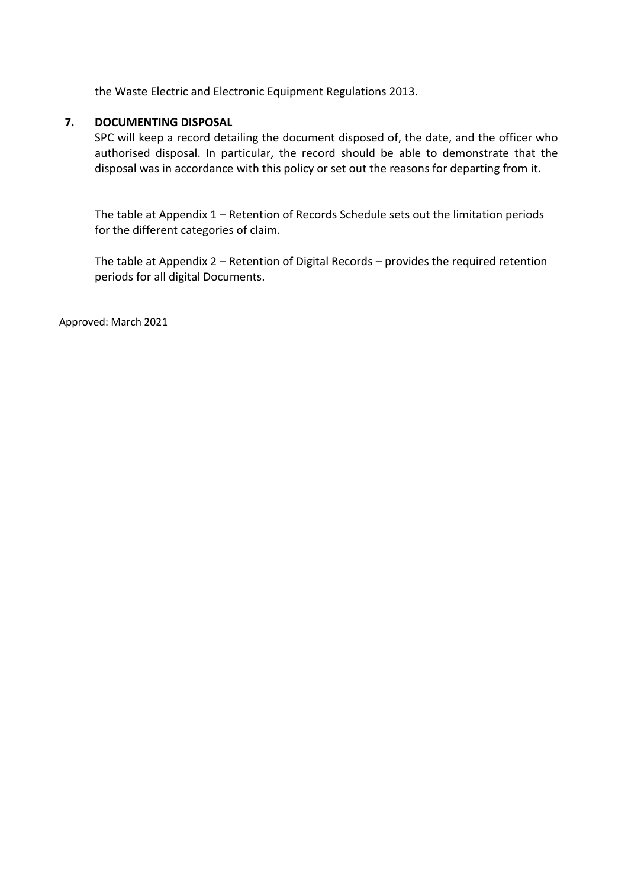the Waste Electric and Electronic Equipment Regulations 2013.

#### **7. DOCUMENTING DISPOSAL**

SPC will keep a record detailing the document disposed of, the date, and the officer who authorised disposal. In particular, the record should be able to demonstrate that the disposal was in accordance with this policy or set out the reasons for departing from it.

The table at Appendix 1 – Retention of Records Schedule sets out the limitation periods for the different categories of claim.

The table at Appendix 2 – Retention of Digital Records – provides the required retention periods for all digital Documents.

Approved: March 2021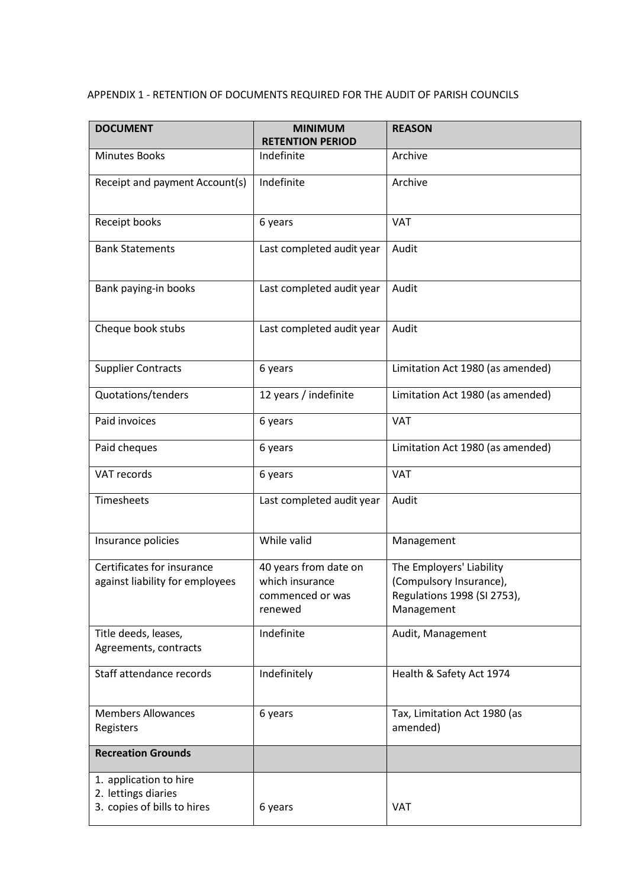# APPENDIX 1 - RETENTION OF DOCUMENTS REQUIRED FOR THE AUDIT OF PARISH COUNCILS

| <b>DOCUMENT</b>                                                              | <b>MINIMUM</b><br><b>RETENTION PERIOD</b>                               | <b>REASON</b>                                                                                    |
|------------------------------------------------------------------------------|-------------------------------------------------------------------------|--------------------------------------------------------------------------------------------------|
| <b>Minutes Books</b>                                                         | Indefinite                                                              | Archive                                                                                          |
| Receipt and payment Account(s)                                               | Indefinite                                                              | Archive                                                                                          |
| Receipt books                                                                | 6 years                                                                 | <b>VAT</b>                                                                                       |
| <b>Bank Statements</b>                                                       | Last completed audit year                                               | Audit                                                                                            |
| Bank paying-in books                                                         | Last completed audit year                                               | Audit                                                                                            |
| Cheque book stubs                                                            | Last completed audit year                                               | Audit                                                                                            |
| <b>Supplier Contracts</b>                                                    | 6 years                                                                 | Limitation Act 1980 (as amended)                                                                 |
| Quotations/tenders                                                           | 12 years / indefinite                                                   | Limitation Act 1980 (as amended)                                                                 |
| Paid invoices                                                                | 6 years                                                                 | <b>VAT</b>                                                                                       |
| Paid cheques                                                                 | 6 years                                                                 | Limitation Act 1980 (as amended)                                                                 |
| VAT records                                                                  | 6 years                                                                 | <b>VAT</b>                                                                                       |
| Timesheets                                                                   | Last completed audit year                                               | Audit                                                                                            |
| Insurance policies                                                           | While valid                                                             | Management                                                                                       |
| Certificates for insurance<br>against liability for employees                | 40 years from date on<br>which insurance<br>commenced or was<br>renewed | The Employers' Liability<br>(Compulsory Insurance),<br>Regulations 1998 (SI 2753),<br>Management |
| Title deeds, leases,<br>Agreements, contracts                                | Indefinite                                                              | Audit, Management                                                                                |
| Staff attendance records                                                     | Indefinitely                                                            | Health & Safety Act 1974                                                                         |
| <b>Members Allowances</b><br>Registers                                       | 6 years                                                                 | Tax, Limitation Act 1980 (as<br>amended)                                                         |
| <b>Recreation Grounds</b>                                                    |                                                                         |                                                                                                  |
| 1. application to hire<br>2. lettings diaries<br>3. copies of bills to hires | 6 years                                                                 | <b>VAT</b>                                                                                       |